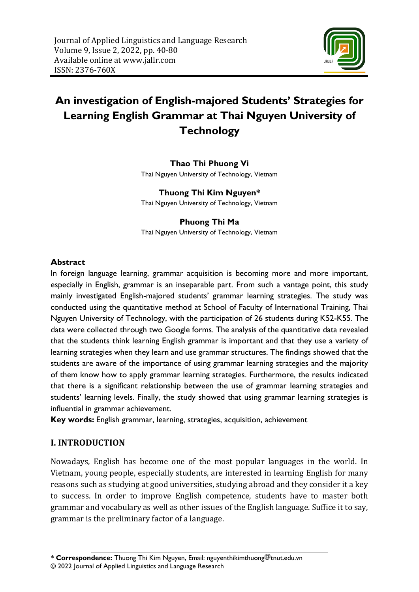

# **An investigation of English-majored Students' Strategies for Learning English Grammar at Thai Nguyen University of Technology**

## **Thao Thi Phuong Vi**

Thai Nguyen University of Technology, Vietnam

**Thuong Thi Kim Nguyen\*** Thai Nguyen University of Technology, Vietnam

## **Phuong Thi Ma** Thai Nguyen University of Technology, Vietnam

## **Abstract**

In foreign language learning, grammar acquisition is becoming more and more important, especially in English, grammar is an inseparable part. From such a vantage point, this study mainly investigated English-majored students' grammar learning strategies. The study was conducted using the quantitative method at School of Faculty of International Training, Thai Nguyen University of Technology, with the participation of 26 students during K52-K55. The data were collected through two Google forms. The analysis of the quantitative data revealed that the students think learning English grammar is important and that they use a variety of learning strategies when they learn and use grammar structures. The findings showed that the students are aware of the importance of using grammar learning strategies and the majority of them know how to apply grammar learning strategies. Furthermore, the results indicated that there is a significant relationship between the use of grammar learning strategies and students' learning levels. Finally, the study showed that using grammar learning strategies is influential in grammar achievement.

**Key words:** English grammar, learning, strategies, acquisition, achievement

# **I. INTRODUCTION**

Nowadays, English has become one of the most popular languages in the world. In Vietnam, young people, especially students, are interested in learning English for many reasons such as studying at good universities, studying abroad and they consider it a key to success. In order to improve English competence, students have to master both grammar and vocabulary as well as other issues of the English language. Suffice it to say, grammar is the preliminary factor of a language.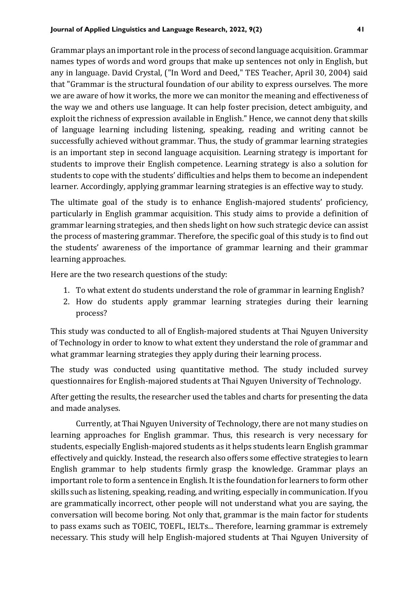Grammar plays an important role in the process of second language acquisition. Grammar names types of words and word groups that make up sentences not only in English, but any in language. David Crystal, ("In Word and Deed," TES Teacher, April 30, 2004) said that "Grammar is the structural foundation of our ability to express ourselves. The more we are aware of how it works, the more we can monitor the meaning and effectiveness of the way we and others use language. It can help foster precision, detect ambiguity, and exploit the richness of expression available in English." Hence, we cannot deny that skills of language learning including listening, speaking, reading and writing cannot be successfully achieved without grammar. Thus, the study of grammar learning strategies is an important step in second language acquisition. Learning strategy is important for students to improve their English competence. Learning strategy is also a solution for students to cope with the students' difficulties and helps them to become an independent learner. Accordingly, applying grammar learning strategies is an effective way to study.

The ultimate goal of the study is to enhance English-majored students' proficiency, particularly in English grammar acquisition. This study aims to provide a definition of grammar learning strategies, and then sheds light on how such strategic device can assist the process of mastering grammar. Therefore, the specific goal of this study is to find out the students' awareness of the importance of grammar learning and their grammar learning approaches.

Here are the two research questions of the study:

- 1. To what extent do students understand the role of grammar in learning English?
- 2. How do students apply grammar learning strategies during their learning process?

This study was conducted to all of English-majored students at Thai Nguyen University of Technology in order to know to what extent they understand the role of grammar and what grammar learning strategies they apply during their learning process.

The study was conducted using quantitative method. The study included survey questionnaires for English-majored students at Thai Nguyen University of Technology.

After getting the results, the researcher used the tables and charts for presenting the data and made analyses.

Currently, at Thai Nguyen University of Technology, there are not many studies on learning approaches for English grammar. Thus, this research is very necessary for students, especially English-majored students as it helps students learn English grammar effectively and quickly. Instead, the research also offers some effective strategies to learn English grammar to help students firmly grasp the knowledge. Grammar plays an important role to form a sentence in English. It is the foundation for learners to form other skills such as listening, speaking, reading, and writing, especially in communication. If you are grammatically incorrect, other people will not understand what you are saying, the conversation will become boring. Not only that, grammar is the main factor for students to pass exams such as TOEIC, TOEFL, IELTs... Therefore, learning grammar is extremely necessary. This study will help English-majored students at Thai Nguyen University of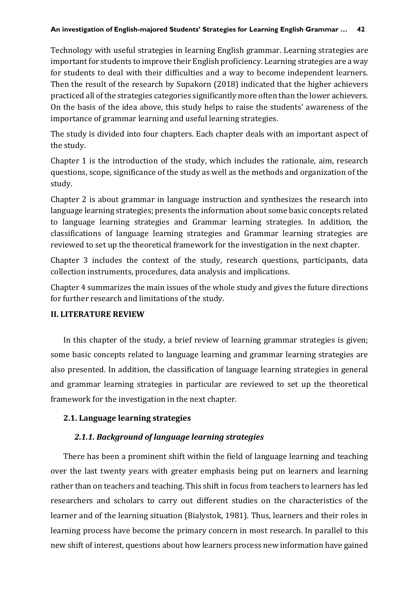Technology with useful strategies in learning English grammar. Learning strategies are important for students to improve their English proficiency. Learning strategies are a way for students to deal with their difficulties and a way to become independent learners. Then the result of the research by Supakorn (2018) indicated that the higher achievers practiced all of the strategies categories significantly more often than the lower achievers. On the basis of the idea above, this study helps to raise the students' awareness of the importance of grammar learning and useful learning strategies.

The study is divided into four chapters. Each chapter deals with an important aspect of the study.

Chapter 1 is the introduction of the study, which includes the rationale, aim, research questions, scope, significance of the study as well as the methods and organization of the study.

Chapter 2 is about grammar in language instruction and synthesizes the research into language learning strategies; presents the information about some basic concepts related to language learning strategies and Grammar learning strategies. In addition, the classifications of language learning strategies and Grammar learning strategies are reviewed to set up the theoretical framework for the investigation in the next chapter.

Chapter 3 includes the context of the study, research questions, participants, data collection instruments, procedures, data analysis and implications.

Chapter 4 summarizes the main issues of the whole study and gives the future directions for further research and limitations of the study.

## **II. LITERATURE REVIEW**

In this chapter of the study, a brief review of learning grammar strategies is given; some basic concepts related to language learning and grammar learning strategies are also presented. In addition, the classification of language learning strategies in general and grammar learning strategies in particular are reviewed to set up the theoretical framework for the investigation in the next chapter.

# **2.1. Language learning strategies**

# *2.1.1. Background of language learning strategies*

There has been a prominent shift within the field of language learning and teaching over the last twenty years with greater emphasis being put on learners and learning rather than on teachers and teaching. This shift in focus from teachers to learners has led researchers and scholars to carry out different studies on the characteristics of the learner and of the learning situation (Bialystok, 1981). Thus, learners and their roles in learning process have become the primary concern in most research. In parallel to this new shift of interest, questions about how learners process new information have gained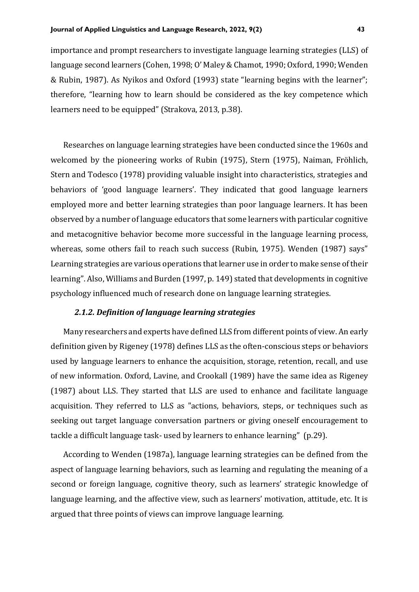importance and prompt researchers to investigate language learning strategies (LLS) of language second learners (Cohen, 1998; O' Maley & Chamot, 1990; Oxford, 1990; Wenden & Rubin, 1987). As Nyikos and Oxford (1993) state "learning begins with the learner"; therefore, "learning how to learn should be considered as the key competence which learners need to be equipped" (Strakova, 2013, p.38).

Researches on language learning strategies have been conducted since the 1960s and welcomed by the pioneering works of Rubin (1975), Stern (1975), Naiman, Fröhlich, Stern and Todesco (1978) providing valuable insight into characteristics, strategies and behaviors of 'good language learners'. They indicated that good language learners employed more and better learning strategies than poor language learners. It has been observed by a number of language educators that some learners with particular cognitive and metacognitive behavior become more successful in the language learning process, whereas, some others fail to reach such success (Rubin, 1975). Wenden (1987) says" Learning strategies are various operations that learner use in order to make sense of their learning". Also, Williams and Burden (1997, p. 149) stated that developments in cognitive psychology influenced much of research done on language learning strategies.

## *2.1.2. Definition of language learning strategies*

Many researchers and experts have defined LLS from different points of view. An early definition given by Rigeney (1978) defines LLS as the often-conscious steps or behaviors used by language learners to enhance the acquisition, storage, retention, recall, and use of new information. Oxford, Lavine, and Crookall (1989) have the same idea as Rigeney (1987) about LLS. They started that LLS are used to enhance and facilitate language acquisition. They referred to LLS as "actions, behaviors, steps, or techniques such as seeking out target language conversation partners or giving oneself encouragement to tackle a difficult language task- used by learners to enhance learning" (p.29).

According to Wenden (1987a), language learning strategies can be defined from the aspect of language learning behaviors, such as learning and regulating the meaning of a second or foreign language, cognitive theory, such as learners' strategic knowledge of language learning, and the affective view, such as learners' motivation, attitude, etc. It is argued that three points of views can improve language learning.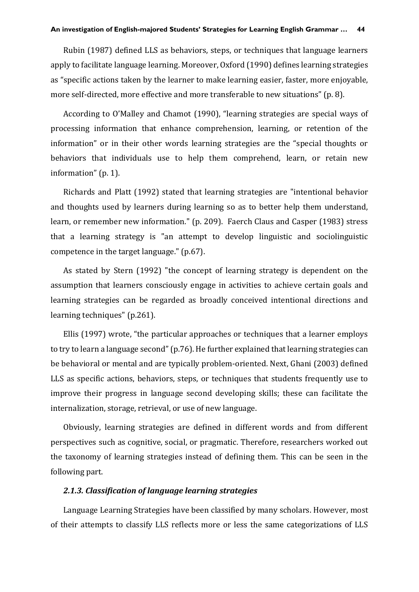Rubin (1987) defined LLS as behaviors, steps, or techniques that language learners apply to facilitate language learning. Moreover, Oxford (1990) defines learning strategies as "specific actions taken by the learner to make learning easier, faster, more enjoyable, more self-directed, more effective and more transferable to new situations" (p. 8).

According to O'Malley and Chamot (1990), "learning strategies are special ways of processing information that enhance comprehension, learning, or retention of the information" or in their other words learning strategies are the "special thoughts or behaviors that individuals use to help them comprehend, learn, or retain new information" (p. 1).

Richards and Platt (1992) stated that learning strategies are "intentional behavior and thoughts used by learners during learning so as to better help them understand, learn, or remember new information." (p. 209). Faerch Claus and Casper (1983) stress that a learning strategy is "an attempt to develop linguistic and sociolinguistic competence in the target language." (p.67).

As stated by Stern (1992) "the concept of learning strategy is dependent on the assumption that learners consciously engage in activities to achieve certain goals and learning strategies can be regarded as broadly conceived intentional directions and learning techniques" (p.261).

Ellis (1997) wrote, "the particular approaches or techniques that a learner employs to try to learn a language second" (p.76). He further explained that learning strategies can be behavioral or mental and are typically problem-oriented. Next, Ghani (2003) defined LLS as specific actions, behaviors, steps, or techniques that students frequently use to improve their progress in language second developing skills; these can facilitate the internalization, storage, retrieval, or use of new language.

Obviously, learning strategies are defined in different words and from different perspectives such as cognitive, social, or pragmatic. Therefore, researchers worked out the taxonomy of learning strategies instead of defining them. This can be seen in the following part.

#### *2.1.3. Classification of language learning strategies*

Language Learning Strategies have been classified by many scholars. However, most of their attempts to classify LLS reflects more or less the same categorizations of LLS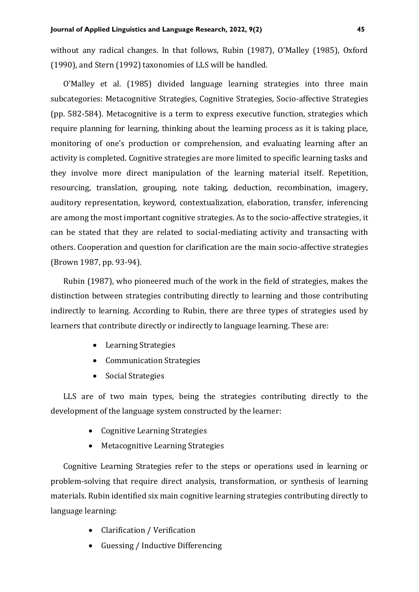without any radical changes. In that follows, Rubin (1987), O'Malley (1985), Oxford (1990), and Stern (1992) taxonomies of LLS will be handled.

O'Malley et al. (1985) divided language learning strategies into three main subcategories: Metacognitive Strategies, Cognitive Strategies, Socio-affective Strategies (pp. 582-584). Metacognitive is a term to express executive function, strategies which require planning for learning, thinking about the learning process as it is taking place, monitoring of one's production or comprehension, and evaluating learning after an activity is completed. Cognitive strategies are more limited to specific learning tasks and they involve more direct manipulation of the learning material itself. Repetition, resourcing, translation, grouping, note taking, deduction, recombination, imagery, auditory representation, keyword, contextualization, elaboration, transfer, inferencing are among the most important cognitive strategies. As to the socio-affective strategies, it can be stated that they are related to social-mediating activity and transacting with others. Cooperation and question for clarification are the main socio-affective strategies (Brown 1987, pp. 93-94).

Rubin (1987), who pioneered much of the work in the field of strategies, makes the distinction between strategies contributing directly to learning and those contributing indirectly to learning. According to Rubin, there are three types of strategies used by learners that contribute directly or indirectly to language learning. These are:

- Learning Strategies
- Communication Strategies
- Social Strategies

LLS are of two main types, being the strategies contributing directly to the development of the language system constructed by the learner:

- Cognitive Learning Strategies
- Metacognitive Learning Strategies

Cognitive Learning Strategies refer to the steps or operations used in learning or problem-solving that require direct analysis, transformation, or synthesis of learning materials. Rubin identified six main cognitive learning strategies contributing directly to language learning:

- Clarification / Verification
- Guessing / Inductive Differencing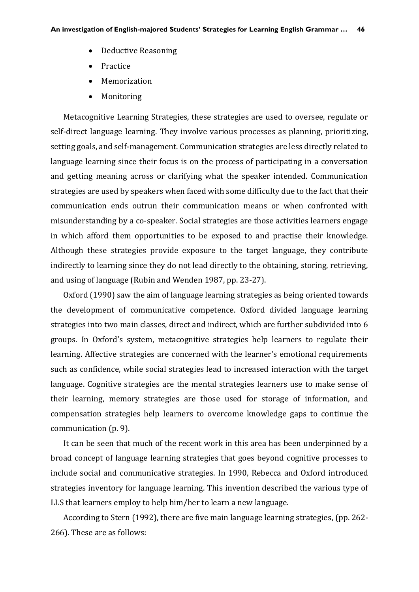- Deductive Reasoning
- **Practice**
- Memorization
- Monitoring

Metacognitive Learning Strategies, these strategies are used to oversee, regulate or self-direct language learning. They involve various processes as planning, prioritizing, setting goals, and self-management. Communication strategies are less directly related to language learning since their focus is on the process of participating in a conversation and getting meaning across or clarifying what the speaker intended. Communication strategies are used by speakers when faced with some difficulty due to the fact that their communication ends outrun their communication means or when confronted with misunderstanding by a co-speaker. Social strategies are those activities learners engage in which afford them opportunities to be exposed to and practise their knowledge. Although these strategies provide exposure to the target language, they contribute indirectly to learning since they do not lead directly to the obtaining, storing, retrieving, and using of language (Rubin and Wenden 1987, pp. 23-27).

Oxford (1990) saw the aim of language learning strategies as being oriented towards the development of communicative competence. Oxford divided language learning strategies into two main classes, direct and indirect, which are further subdivided into 6 groups. In Oxford's system, metacognitive strategies help learners to regulate their learning. Affective strategies are concerned with the learner's emotional requirements such as confidence, while social strategies lead to increased interaction with the target language. Cognitive strategies are the mental strategies learners use to make sense of their learning, memory strategies are those used for storage of information, and compensation strategies help learners to overcome knowledge gaps to continue the communication (p. 9).

It can be seen that much of the recent work in this area has been underpinned by a broad concept of language learning strategies that goes beyond cognitive processes to include social and communicative strategies. In 1990, Rebecca and Oxford introduced strategies inventory for language learning. This invention described the various type of LLS that learners employ to help him/her to learn a new language.

According to Stern (1992), there are five main language learning strategies, (pp. 262- 266). These are as follows: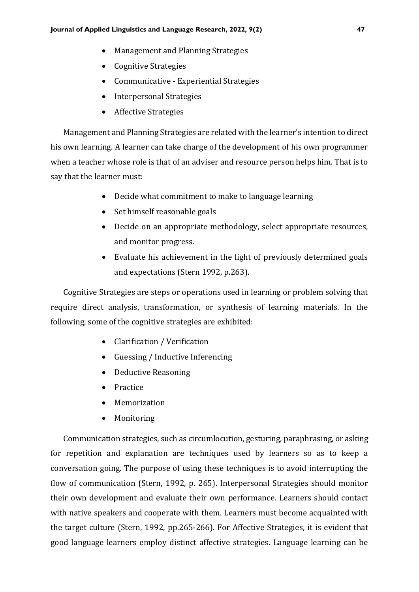- Management and Planning Strategies
- Cognitive Strategies
- Communicative Experiential Strategies
- Interpersonal Strategies
- Affective Strategies

Management and Planning Strategies are related with the learner's intention to direct his own learning. A learner can take charge of the development of his own programmer when a teacher whose role is that of an adviser and resource person helps him. That is to say that the learner must:

- Decide what commitment to make to language learning
- Set himself reasonable goals
- Decide on an appropriate methodology, select appropriate resources, and monitor progress.
- Evaluate his achievement in the light of previously determined goals and expectations (Stern 1992, p.263).

Cognitive Strategies are steps or operations used in learning or problem solving that require direct analysis, transformation, or synthesis of learning materials. In the following, some of the cognitive strategies are exhibited:

- Clarification / Verification
- Guessing / Inductive Inferencing
- Deductive Reasoning
- Practice
- Memorization
- Monitoring

Communication strategies, such as circumlocution, gesturing, paraphrasing, or asking for repetition and explanation are techniques used by learners so as to keep a conversation going. The purpose of using these techniques is to avoid interrupting the flow of communication (Stern, 1992, p. 265). Interpersonal Strategies should monitor their own development and evaluate their own performance. Learners should contact with native speakers and cooperate with them. Learners must become acquainted with the target culture (Stern, 1992, pp.265-266). For Affective Strategies, it is evident that good language learners employ distinct affective strategies. Language learning can be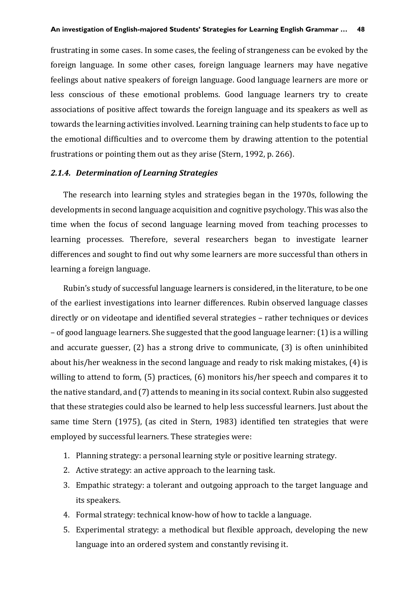frustrating in some cases. In some cases, the feeling of strangeness can be evoked by the foreign language. In some other cases, foreign language learners may have negative feelings about native speakers of foreign language. Good language learners are more or less conscious of these emotional problems. Good language learners try to create associations of positive affect towards the foreign language and its speakers as well as towards the learning activities involved. Learning training can help students to face up to the emotional difficulties and to overcome them by drawing attention to the potential frustrations or pointing them out as they arise (Stern, 1992, p. 266).

#### *2.1.4. Determination of Learning Strategies*

The research into learning styles and strategies began in the 1970s, following the developments in second language acquisition and cognitive psychology. This was also the time when the focus of second language learning moved from teaching processes to learning processes. Therefore, several researchers began to investigate learner differences and sought to find out why some learners are more successful than others in learning a foreign language.

Rubin's study of successful language learners is considered, in the literature, to be one of the earliest investigations into learner differences. Rubin observed language classes directly or on videotape and identified several strategies – rather techniques or devices – of good language learners. She suggested that the good language learner: (1) is a willing and accurate guesser, (2) has a strong drive to communicate, (3) is often uninhibited about his/her weakness in the second language and ready to risk making mistakes, (4) is willing to attend to form, (5) practices, (6) monitors his/her speech and compares it to the native standard, and (7) attends to meaning in its social context. Rubin also suggested that these strategies could also be learned to help less successful learners. Just about the same time Stern (1975), (as cited in Stern, 1983) identified ten strategies that were employed by successful learners. These strategies were:

- 1. Planning strategy: a personal learning style or positive learning strategy.
- 2. Active strategy: an active approach to the learning task.
- 3. Empathic strategy: a tolerant and outgoing approach to the target language and its speakers.
- 4. Formal strategy: technical know-how of how to tackle a language.
- 5. Experimental strategy: a methodical but flexible approach, developing the new language into an ordered system and constantly revising it.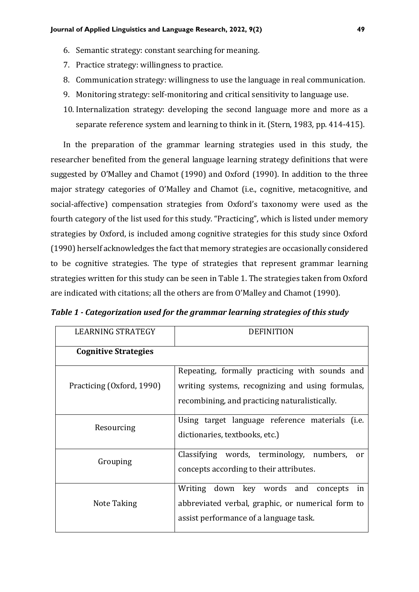- 6. Semantic strategy: constant searching for meaning.
- 7. Practice strategy: willingness to practice.
- 8. Communication strategy: willingness to use the language in real communication.
- 9. Monitoring strategy: self-monitoring and critical sensitivity to language use.
- 10. Internalization strategy: developing the second language more and more as a separate reference system and learning to think in it. (Stern, 1983, pp. 414-415).

In the preparation of the grammar learning strategies used in this study, the researcher benefited from the general language learning strategy definitions that were suggested by O'Malley and Chamot (1990) and Oxford (1990). In addition to the three major strategy categories of O'Malley and Chamot (i.e., cognitive, metacognitive, and social-affective) compensation strategies from Oxford's taxonomy were used as the fourth category of the list used for this study. "Practicing", which is listed under memory strategies by Oxford, is included among cognitive strategies for this study since Oxford (1990) herself acknowledges the fact that memory strategies are occasionally considered to be cognitive strategies. The type of strategies that represent grammar learning strategies written for this study can be seen in Table 1. The strategies taken from Oxford are indicated with citations; all the others are from O'Malley and Chamot (1990).

| <b>LEARNING STRATEGY</b>    | <b>DEFINITION</b>                                                                                                                                   |  |
|-----------------------------|-----------------------------------------------------------------------------------------------------------------------------------------------------|--|
| <b>Cognitive Strategies</b> |                                                                                                                                                     |  |
| Practicing (Oxford, 1990)   | Repeating, formally practicing with sounds and<br>writing systems, recognizing and using formulas,<br>recombining, and practicing naturalistically. |  |
| Resourcing                  | Using target language reference materials (i.e.<br>dictionaries, textbooks, etc.)                                                                   |  |
| Grouping                    | Classifying words, terminology,<br>numbers,<br><sub>or</sub><br>concepts according to their attributes.                                             |  |
| Note Taking                 | Writing down key words and concepts<br>in<br>abbreviated verbal, graphic, or numerical form to<br>assist performance of a language task.            |  |

*Table 1 - Categorization used for the grammar learning strategies of this study*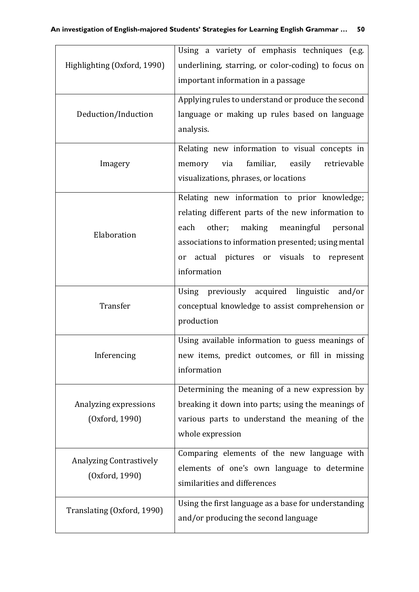| Highlighting (Oxford, 1990)                      | Using a variety of emphasis techniques (e.g.<br>underlining, starring, or color-coding) to focus on<br>important information in a passage<br>Applying rules to understand or produce the second<br>language or making up rules based on language<br>analysis.                   |  |
|--------------------------------------------------|---------------------------------------------------------------------------------------------------------------------------------------------------------------------------------------------------------------------------------------------------------------------------------|--|
| Deduction/Induction                              |                                                                                                                                                                                                                                                                                 |  |
| Imagery                                          | Relating new information to visual concepts in<br>familiar,<br>easily<br>retrievable<br>via<br>memory<br>visualizations, phrases, or locations                                                                                                                                  |  |
| Elaboration                                      | Relating new information to prior knowledge;<br>relating different parts of the new information to<br>other;<br>each<br>making<br>meaningful<br>personal<br>associations to information presented; using mental<br>actual pictures or visuals to represent<br>or<br>information |  |
| Transfer                                         | Using previously acquired linguistic<br>and/or<br>conceptual knowledge to assist comprehension or<br>production                                                                                                                                                                 |  |
| Inferencing                                      | Using available information to guess meanings of<br>new items, predict outcomes, or fill in missing<br>information                                                                                                                                                              |  |
| Analyzing expressions<br>(Oxford, 1990)          | Determining the meaning of a new expression by<br>breaking it down into parts; using the meanings of<br>various parts to understand the meaning of the<br>whole expression                                                                                                      |  |
| <b>Analyzing Contrastively</b><br>(Oxford, 1990) | Comparing elements of the new language with<br>elements of one's own language to determine<br>similarities and differences                                                                                                                                                      |  |
| Translating (Oxford, 1990)                       | Using the first language as a base for understanding<br>and/or producing the second language                                                                                                                                                                                    |  |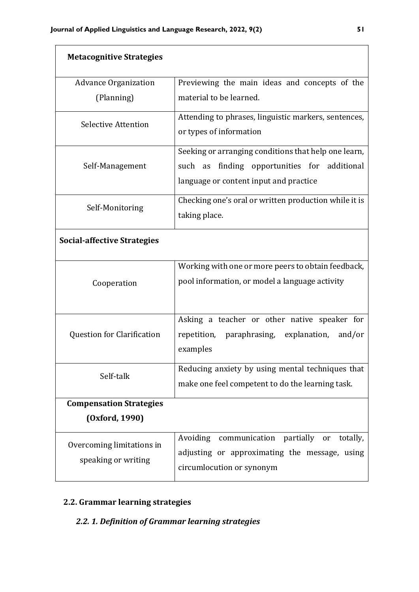| <b>Metacognitive Strategies</b>    |                                                       |  |  |  |
|------------------------------------|-------------------------------------------------------|--|--|--|
| <b>Advance Organization</b>        | Previewing the main ideas and concepts of the         |  |  |  |
| (Planning)                         | material to be learned.                               |  |  |  |
| Selective Attention                | Attending to phrases, linguistic markers, sentences,  |  |  |  |
|                                    | or types of information                               |  |  |  |
|                                    | Seeking or arranging conditions that help one learn,  |  |  |  |
| Self-Management                    | finding opportunities for additional<br>such as       |  |  |  |
|                                    | language or content input and practice                |  |  |  |
| Self-Monitoring                    | Checking one's oral or written production while it is |  |  |  |
|                                    | taking place.                                         |  |  |  |
| <b>Social-affective Strategies</b> |                                                       |  |  |  |
|                                    | Working with one or more peers to obtain feedback,    |  |  |  |
| Cooperation                        | pool information, or model a language activity        |  |  |  |
|                                    |                                                       |  |  |  |
|                                    | Asking a teacher or other native speaker for          |  |  |  |
| <b>Question for Clarification</b>  | repetition, paraphrasing, explanation,<br>and/or      |  |  |  |
|                                    | examples                                              |  |  |  |
| Self-talk                          | Reducing anxiety by using mental techniques that      |  |  |  |
|                                    | make one feel competent to do the learning task.      |  |  |  |
| <b>Compensation Strategies</b>     |                                                       |  |  |  |
| (Oxford, 1990)                     |                                                       |  |  |  |
| Overcoming limitations in          | Avoiding communication<br>partially<br>totally,<br>or |  |  |  |
| speaking or writing                | adjusting or approximating the message, using         |  |  |  |
|                                    | circumlocution or synonym                             |  |  |  |

# **2.2. Grammar learning strategies**

# *2.2. 1. Definition of Grammar learning strategies*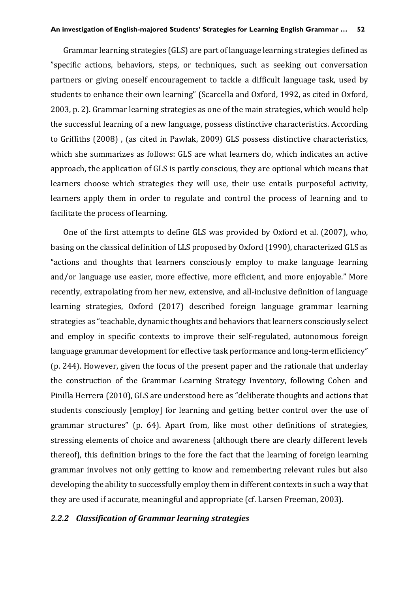Grammar learning strategies (GLS) are part of language learning strategies defined as "specific actions, behaviors, steps, or techniques, such as seeking out conversation partners or giving oneself encouragement to tackle a difficult language task, used by students to enhance their own learning" (Scarcella and Oxford, 1992, as cited in Oxford, 2003, p. 2). Grammar learning strategies as one of the main strategies, which would help the successful learning of a new language, possess distinctive characteristics. According to Griffiths (2008) , (as cited in Pawlak, 2009) GLS possess distinctive characteristics, which she summarizes as follows: GLS are what learners do, which indicates an active approach, the application of GLS is partly conscious, they are optional which means that learners choose which strategies they will use, their use entails purposeful activity, learners apply them in order to regulate and control the process of learning and to facilitate the process of learning.

One of the first attempts to define GLS was provided by Oxford et al. (2007), who, basing on the classical definition of LLS proposed by Oxford (1990), characterized GLS as "actions and thoughts that learners consciously employ to make language learning and/or language use easier, more effective, more efficient, and more enjoyable." More recently, extrapolating from her new, extensive, and all-inclusive definition of language learning strategies, Oxford (2017) described foreign language grammar learning strategies as "teachable, dynamic thoughts and behaviors that learners consciously select and employ in specific contexts to improve their self-regulated, autonomous foreign language grammar development for effective task performance and long-term efficiency" (p. 244). However, given the focus of the present paper and the rationale that underlay the construction of the Grammar Learning Strategy Inventory, following Cohen and Pinilla Herrera (2010), GLS are understood here as "deliberate thoughts and actions that students consciously [employ] for learning and getting better control over the use of grammar structures" (p. 64). Apart from, like most other definitions of strategies, stressing elements of choice and awareness (although there are clearly different levels thereof), this definition brings to the fore the fact that the learning of foreign learning grammar involves not only getting to know and remembering relevant rules but also developing the ability to successfully employ them in different contexts in such a way that they are used if accurate, meaningful and appropriate (cf. Larsen Freeman, 2003).

#### *2.2.2 Classification of Grammar learning strategies*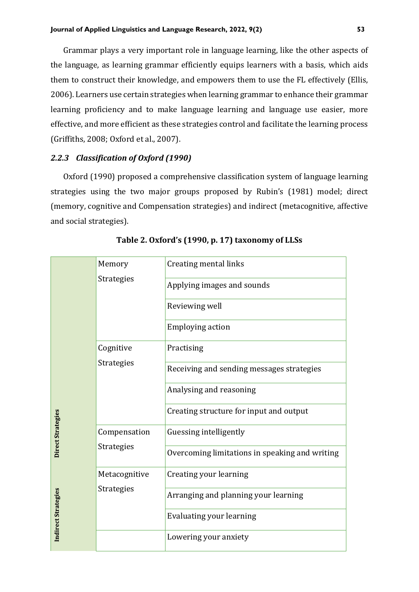Grammar plays a very important role in language learning, like the other aspects of the language, as learning grammar efficiently equips learners with a basis, which aids them to construct their knowledge, and empowers them to use the FL effectively (Ellis, 2006). Learners use certain strategies when learning grammar to enhance their grammar learning proficiency and to make language learning and language use easier, more effective, and more efficient as these strategies control and facilitate the learning process (Griffiths, 2008; Oxford et al., 2007).

## *2.2.3 Classification of Oxford (1990)*

Oxford (1990) proposed a comprehensive classification system of language learning strategies using the two major groups proposed by Rubin's (1981) model; direct (memory, cognitive and Compensation strategies) and indirect (metacognitive, affective and social strategies).

|                     | Memory            | Creating mental links                          |
|---------------------|-------------------|------------------------------------------------|
|                     | <b>Strategies</b> | Applying images and sounds                     |
|                     |                   | Reviewing well                                 |
|                     |                   | <b>Employing action</b>                        |
|                     | Cognitive         | Practising                                     |
|                     | <b>Strategies</b> | Receiving and sending messages strategies      |
|                     |                   | Analysing and reasoning                        |
|                     |                   | Creating structure for input and output        |
| Direct Strategies   | Compensation      | Guessing intelligently                         |
|                     | <b>Strategies</b> | Overcoming limitations in speaking and writing |
|                     | Metacognitive     | Creating your learning                         |
|                     | Strategies        | Arranging and planning your learning           |
| Indirect Strategies |                   | Evaluating your learning                       |
|                     |                   | Lowering your anxiety                          |
|                     |                   |                                                |

**Table 2. Oxford's (1990, p. 17) taxonomy of LLSs**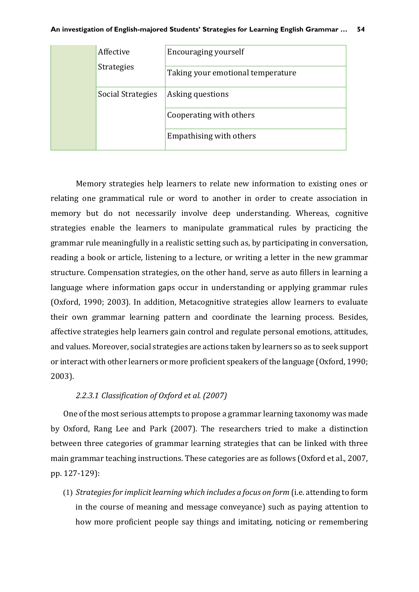| Affective         | Encouraging yourself              |
|-------------------|-----------------------------------|
| <b>Strategies</b> | Taking your emotional temperature |
| Social Strategies | Asking questions                  |
|                   | Cooperating with others           |
|                   | Empathising with others           |

Memory strategies help learners to relate new information to existing ones or relating one grammatical rule or word to another in order to create association in memory but do not necessarily involve deep understanding. Whereas, cognitive strategies enable the learners to manipulate grammatical rules by practicing the grammar rule meaningfully in a realistic setting such as, by participating in conversation, reading a book or article, listening to a lecture, or writing a letter in the new grammar structure. Compensation strategies, on the other hand, serve as auto fillers in learning a language where information gaps occur in understanding or applying grammar rules (Oxford, 1990; 2003). In addition, Metacognitive strategies allow learners to evaluate their own grammar learning pattern and coordinate the learning process. Besides, affective strategies help learners gain control and regulate personal emotions, attitudes, and values. Moreover, social strategies are actions taken by learners so as to seek support or interact with other learners or more proficient speakers of the language (Oxford, 1990; 2003).

## *2.2.3.1 Classification of Oxford et al. (2007)*

One of the most serious attempts to propose a grammar learning taxonomy was made by Oxford, Rang Lee and Park (2007). The researchers tried to make a distinction between three categories of grammar learning strategies that can be linked with three main grammar teaching instructions. These categories are as follows (Oxford et al., 2007, pp. 127-129):

(1) *Strategies for implicit learning which includes a focus on form* (i.e. attending to form in the course of meaning and message conveyance) such as paying attention to how more proficient people say things and imitating, noticing or remembering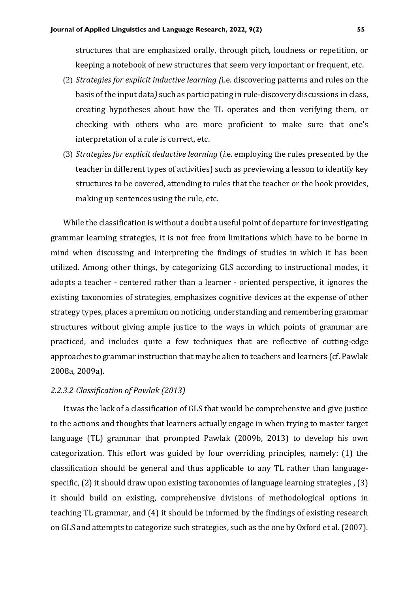structures that are emphasized orally, through pitch, loudness or repetition, or keeping a notebook of new structures that seem very important or frequent, etc.

- (2) *Strategies for explicit inductive learning (*i.e. discovering patterns and rules on the basis of the input data*)* such as participating in rule-discovery discussions in class, creating hypotheses about how the TL operates and then verifying them, or checking with others who are more proficient to make sure that one's interpretation of a rule is correct, etc.
- (3) *Strategies for explicit deductive learning* (*i*.e. employing the rules presented by the teacher in different types of activities) such as previewing a lesson to identify key structures to be covered, attending to rules that the teacher or the book provides, making up sentences using the rule, etc.

While the classification is without a doubt a useful point of departure for investigating grammar learning strategies, it is not free from limitations which have to be borne in mind when discussing and interpreting the findings of studies in which it has been utilized. Among other things, by categorizing GLS according to instructional modes, it adopts a teacher - centered rather than a learner - oriented perspective, it ignores the existing taxonomies of strategies, emphasizes cognitive devices at the expense of other strategy types, places a premium on noticing, understanding and remembering grammar structures without giving ample justice to the ways in which points of grammar are practiced, and includes quite a few techniques that are reflective of cutting-edge approaches to grammar instruction that may be alien to teachers and learners (cf. Pawlak 2008a, 2009a).

#### *2.2.3.2 Classification of Pawlak (2013)*

It was the lack of a classification of GLS that would be comprehensive and give justice to the actions and thoughts that learners actually engage in when trying to master target language (TL) grammar that prompted Pawlak (2009b, 2013) to develop his own categorization. This effort was guided by four overriding principles, namely: (1) the classification should be general and thus applicable to any TL rather than languagespecific, (2) it should draw upon existing taxonomies of language learning strategies , (3) it should build on existing, comprehensive divisions of methodological options in teaching TL grammar, and (4) it should be informed by the findings of existing research on GLS and attempts to categorize such strategies, such as the one by Oxford et al. (2007).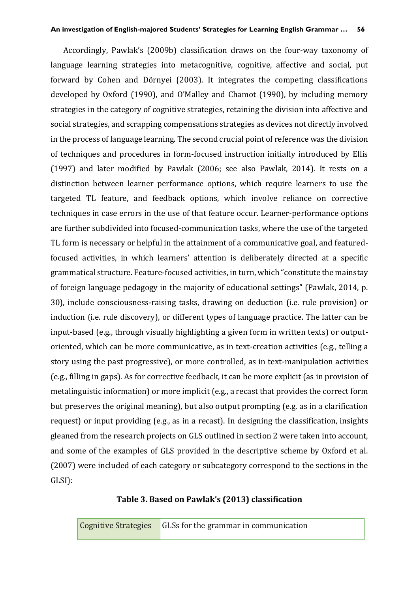Accordingly, Pawlak's (2009b) classification draws on the four-way taxonomy of language learning strategies into metacognitive, cognitive, affective and social, put forward by Cohen and Dörnyei (2003). It integrates the competing classifications developed by Oxford (1990), and O'Malley and Chamot (1990), by including memory strategies in the category of cognitive strategies, retaining the division into affective and social strategies, and scrapping compensations strategies as devices not directly involved in the process of language learning. The second crucial point of reference was the division of techniques and procedures in form-focused instruction initially introduced by Ellis (1997) and later modified by Pawlak (2006; see also Pawlak, 2014). It rests on a distinction between learner performance options, which require learners to use the targeted TL feature, and feedback options, which involve reliance on corrective techniques in case errors in the use of that feature occur. Learner-performance options are further subdivided into focused-communication tasks, where the use of the targeted TL form is necessary or helpful in the attainment of a communicative goal, and featuredfocused activities, in which learners' attention is deliberately directed at a specific grammatical structure. Feature-focused activities, in turn, which "constitute the mainstay of foreign language pedagogy in the majority of educational settings" (Pawlak, 2014, p. 30), include consciousness-raising tasks, drawing on deduction (i.e. rule provision) or induction (i.e. rule discovery), or different types of language practice. The latter can be input-based (e.g., through visually highlighting a given form in written texts) or outputoriented, which can be more communicative, as in text-creation activities (e.g., telling a story using the past progressive), or more controlled, as in text-manipulation activities (e.g., filling in gaps). As for corrective feedback, it can be more explicit (as in provision of metalinguistic information) or more implicit (e.g., a recast that provides the correct form but preserves the original meaning), but also output prompting (e.g. as in a clarification request) or input providing (e.g., as in a recast). In designing the classification, insights gleaned from the research projects on GLS outlined in section 2 were taken into account, and some of the examples of GLS provided in the descriptive scheme by Oxford et al. (2007) were included of each category or subcategory correspond to the sections in the GLSI):

## **Table 3. Based on Pawlak's (2013) classification**

|  | <b>Cognitive Strategies</b> GLSs for the grammar in communication |
|--|-------------------------------------------------------------------|
|--|-------------------------------------------------------------------|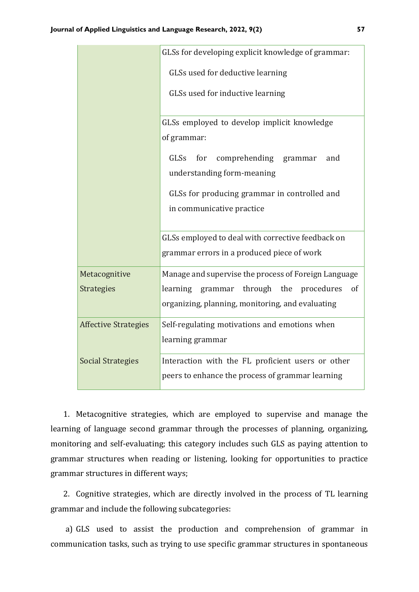|                             | GLSs for developing explicit knowledge of grammar:                                                    |  |
|-----------------------------|-------------------------------------------------------------------------------------------------------|--|
|                             | GLSs used for deductive learning                                                                      |  |
|                             | GLSs used for inductive learning                                                                      |  |
|                             | GLSs employed to develop implicit knowledge                                                           |  |
|                             | of grammar:                                                                                           |  |
|                             | GLSs<br>for comprehending grammar<br>and<br>understanding form-meaning                                |  |
|                             | GLSs for producing grammar in controlled and                                                          |  |
|                             | in communicative practice                                                                             |  |
|                             | GLSs employed to deal with corrective feedback on<br>grammar errors in a produced piece of work       |  |
| Metacognitive               | Manage and supervise the process of Foreign Language                                                  |  |
| <b>Strategies</b>           | learning grammar through the procedures<br>of<br>organizing, planning, monitoring, and evaluating     |  |
| <b>Affective Strategies</b> | Self-regulating motivations and emotions when<br>learning grammar                                     |  |
| <b>Social Strategies</b>    | Interaction with the FL proficient users or other<br>peers to enhance the process of grammar learning |  |

1. Metacognitive strategies, which are employed to supervise and manage the learning of language second grammar through the processes of planning, organizing, monitoring and self-evaluating; this category includes such GLS as paying attention to grammar structures when reading or listening, looking for opportunities to practice grammar structures in different ways;

2. Cognitive strategies, which are directly involved in the process of TL learning grammar and include the following subcategories:

a) GLS used to assist the production and comprehension of grammar in communication tasks, such as trying to use specific grammar structures in spontaneous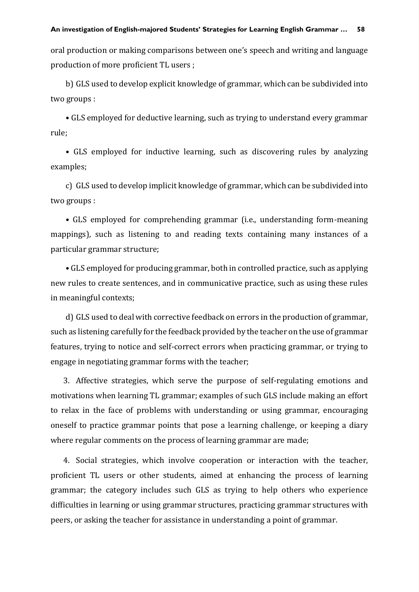oral production or making comparisons between one's speech and writing and language production of more proficient TL users ;

b) GLS used to develop explicit knowledge of grammar, which can be subdivided into two groups :

• GLS employed for deductive learning, such as trying to understand every grammar rule;

• GLS employed for inductive learning, such as discovering rules by analyzing examples;

c) GLS used to develop implicit knowledge of grammar, which can be subdivided into two groups :

• GLS employed for comprehending grammar (i.e., understanding form-meaning mappings), such as listening to and reading texts containing many instances of a particular grammar structure;

• GLS employed for producing grammar, both in controlled practice, such as applying new rules to create sentences, and in communicative practice, such as using these rules in meaningful contexts;

d) GLS used to deal with corrective feedback on errors in the production of grammar, such as listening carefully for the feedback provided by the teacher on the use of grammar features, trying to notice and self-correct errors when practicing grammar, or trying to engage in negotiating grammar forms with the teacher;

3. Affective strategies, which serve the purpose of self-regulating emotions and motivations when learning TL grammar; examples of such GLS include making an effort to relax in the face of problems with understanding or using grammar, encouraging oneself to practice grammar points that pose a learning challenge, or keeping a diary where regular comments on the process of learning grammar are made;

4. Social strategies, which involve cooperation or interaction with the teacher, proficient TL users or other students, aimed at enhancing the process of learning grammar; the category includes such GLS as trying to help others who experience difficulties in learning or using grammar structures, practicing grammar structures with peers, or asking the teacher for assistance in understanding a point of grammar.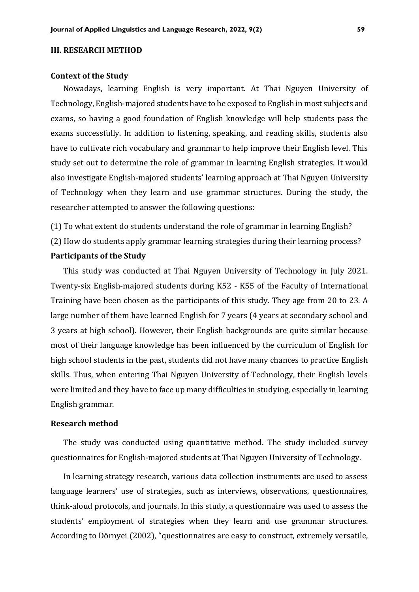#### **III. RESEARCH METHOD**

#### **Context of the Study**

Nowadays, learning English is very important. At Thai Nguyen University of Technology, English-majored students have to be exposed to English in most subjects and exams, so having a good foundation of English knowledge will help students pass the exams successfully. In addition to listening, speaking, and reading skills, students also have to cultivate rich vocabulary and grammar to help improve their English level. This study set out to determine the role of grammar in learning English strategies. It would also investigate English-majored students' learning approach at Thai Nguyen University of Technology when they learn and use grammar structures. During the study, the researcher attempted to answer the following questions:

(1) To what extent do students understand the role of grammar in learning English?

(2) How do students apply grammar learning strategies during their learning process?

#### **Participants of the Study**

This study was conducted at Thai Nguyen University of Technology in July 2021. Twenty-six English-majored students during K52 - K55 of the Faculty of International Training have been chosen as the participants of this study. They age from 20 to 23. A large number of them have learned English for 7 years (4 years at secondary school and 3 years at high school). However, their English backgrounds are quite similar because most of their language knowledge has been influenced by the curriculum of English for high school students in the past, students did not have many chances to practice English skills. Thus, when entering Thai Nguyen University of Technology, their English levels were limited and they have to face up many difficulties in studying, especially in learning English grammar.

#### **Research method**

The study was conducted using quantitative method. The study included survey questionnaires for English-majored students at Thai Nguyen University of Technology.

In learning strategy research, various data collection instruments are used to assess language learners' use of strategies, such as interviews, observations, questionnaires, think-aloud protocols, and journals. In this study, a questionnaire was used to assess the students' employment of strategies when they learn and use grammar structures. According to Dörnyei (2002), "questionnaires are easy to construct, extremely versatile,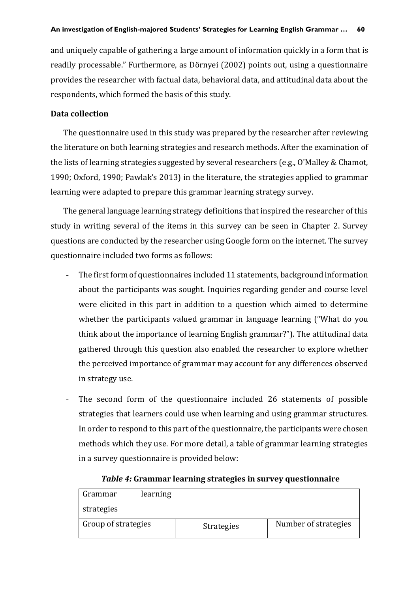and uniquely capable of gathering a large amount of information quickly in a form that is readily processable." Furthermore, as Dörnyei (2002) points out, using a questionnaire provides the researcher with factual data, behavioral data, and attitudinal data about the respondents, which formed the basis of this study.

## **Data collection**

The questionnaire used in this study was prepared by the researcher after reviewing the literature on both learning strategies and research methods. After the examination of the lists of learning strategies suggested by several researchers (e.g., O'Malley & Chamot, 1990; Oxford, 1990; Pawlak's 2013) in the literature, the strategies applied to grammar learning were adapted to prepare this grammar learning strategy survey.

The general language learning strategy definitions that inspired the researcher of this study in writing several of the items in this survey can be seen in Chapter 2. Survey questions are conducted by the researcher using Google form on the internet. The survey questionnaire included two forms as follows:

- The first form of questionnaires included 11 statements, background information about the participants was sought. Inquiries regarding gender and course level were elicited in this part in addition to a question which aimed to determine whether the participants valued grammar in language learning ("What do you think about the importance of learning English grammar?"). The attitudinal data gathered through this question also enabled the researcher to explore whether the perceived importance of grammar may account for any differences observed in strategy use.
- The second form of the questionnaire included 26 statements of possible strategies that learners could use when learning and using grammar structures. In order to respond to this part of the questionnaire, the participants were chosen methods which they use. For more detail, a table of grammar learning strategies in a survey questionnaire is provided below:

| learning<br>Grammar |                   |                      |
|---------------------|-------------------|----------------------|
| strategies          |                   |                      |
| Group of strategies | <b>Strategies</b> | Number of strategies |

## *Table 4:* **Grammar learning strategies in survey questionnaire**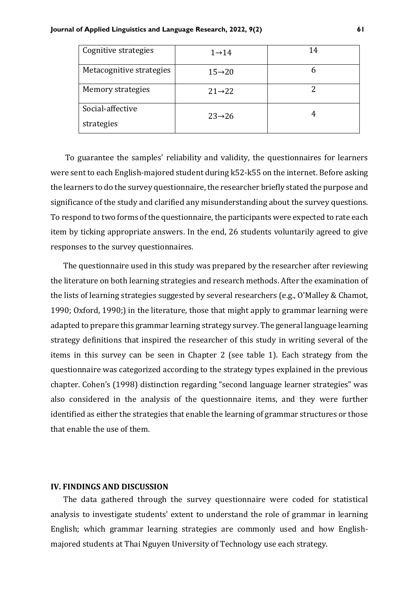| Cognitive strategies     | $1 \rightarrow 14$  | 14 |
|--------------------------|---------------------|----|
| Metacognitive strategies | $15 \rightarrow 20$ | n  |
| Memory strategies        | $21 \rightarrow 22$ |    |
| Social-affective         | $23 \rightarrow 26$ | 4  |
| strategies               |                     |    |

To guarantee the samples' reliability and validity, the questionnaires for learners were sent to each English-majored student during k52-k55 on the internet. Before asking the learners to do the survey questionnaire, the researcher briefly stated the purpose and significance of the study and clarified any misunderstanding about the survey questions. To respond to two forms of the questionnaire, the participants were expected to rate each item by ticking appropriate answers. In the end, 26 students voluntarily agreed to give responses to the survey questionnaires.

The questionnaire used in this study was prepared by the researcher after reviewing the literature on both learning strategies and research methods. After the examination of the lists of learning strategies suggested by several researchers (e.g., O'Malley & Chamot, 1990; Oxford, 1990;) in the literature, those that might apply to grammar learning were adapted to prepare this grammar learning strategy survey. The general language learning strategy definitions that inspired the researcher of this study in writing several of the items in this survey can be seen in Chapter 2 (see table 1). Each strategy from the questionnaire was categorized according to the strategy types explained in the previous chapter. Cohen's (1998) distinction regarding "second language learner strategies" was also considered in the analysis of the questionnaire items, and they were further identified as either the strategies that enable the learning of grammar structures or those that enable the use of them.

#### **IV. FINDINGS AND DISCUSSION**

The data gathered through the survey questionnaire were coded for statistical analysis to investigate students' extent to understand the role of grammar in learning English; which grammar learning strategies are commonly used and how Englishmajored students at Thai Nguyen University of Technology use each strategy.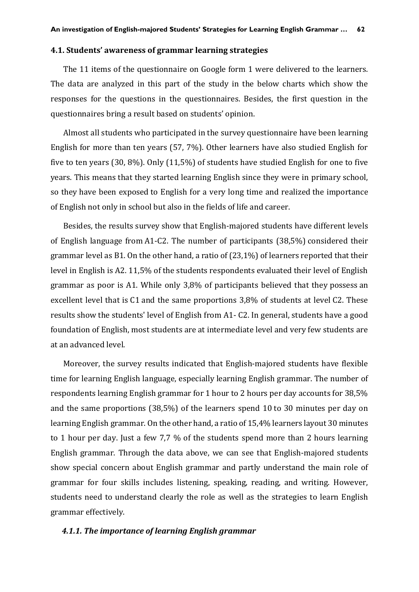#### **4.1. Students' awareness of grammar learning strategies**

The 11 items of the questionnaire on Google form 1 were delivered to the learners. The data are analyzed in this part of the study in the below charts which show the responses for the questions in the questionnaires. Besides, the first question in the questionnaires bring a result based on students' opinion.

Almost all students who participated in the survey questionnaire have been learning English for more than ten years (57, 7%). Other learners have also studied English for five to ten years (30, 8%). Only (11,5%) of students have studied English for one to five years. This means that they started learning English since they were in primary school, so they have been exposed to English for a very long time and realized the importance of English not only in school but also in the fields of life and career.

Besides, the results survey show that English-majored students have different levels of English language from A1-C2. The number of participants (38,5%) considered their grammar level as B1. On the other hand, a ratio of (23,1%) of learners reported that their level in English is A2. 11,5% of the students respondents evaluated their level of English grammar as poor is A1. While only 3,8% of participants believed that they possess an excellent level that is C1 and the same proportions 3,8% of students at level C2. These results show the students' level of English from A1- C2. In general, students have a good foundation of English, most students are at intermediate level and very few students are at an advanced level.

Moreover, the survey results indicated that English-majored students have flexible time for learning English language, especially learning English grammar. The number of respondents learning English grammar for 1 hour to 2 hours per day accounts for 38,5% and the same proportions (38,5%) of the learners spend 10 to 30 minutes per day on learning English grammar. On the other hand, a ratio of 15,4% learners layout 30 minutes to 1 hour per day. Just a few 7,7 % of the students spend more than 2 hours learning English grammar. Through the data above, we can see that English-majored students show special concern about English grammar and partly understand the main role of grammar for four skills includes listening, speaking, reading, and writing. However, students need to understand clearly the role as well as the strategies to learn English grammar effectively.

#### *4.1.1. The importance of learning English grammar*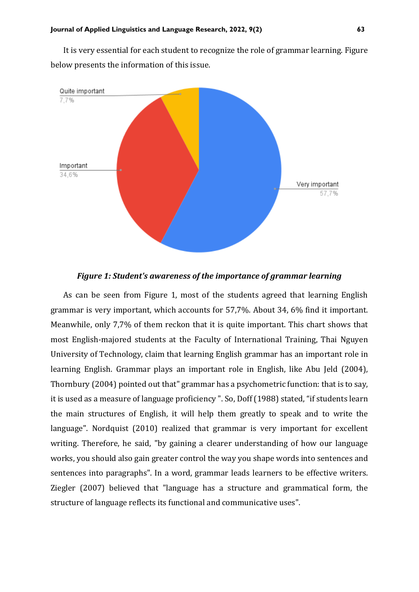It is very essential for each student to recognize the role of grammar learning. Figure below presents the information of this issue.



*Figure 1: Student's awareness of the importance of grammar learning*

As can be seen from Figure 1, most of the students agreed that learning English grammar is very important, which accounts for 57,7%. About 34, 6% find it important. Meanwhile, only 7,7% of them reckon that it is quite important. This chart shows that most English-majored students at the Faculty of International Training, Thai Nguyen University of Technology, claim that learning English grammar has an important role in learning English. Grammar plays an important role in English, like Abu Jeld (2004), Thornbury (2004) pointed out that" grammar has a psychometric function: that is to say, it is used as a measure of language proficiency ". So, Doff (1988) stated, "if students learn the main structures of English, it will help them greatly to speak and to write the language". Nordquist (2010) realized that grammar is very important for excellent writing. Therefore, he said, "by gaining a clearer understanding of how our language works, you should also gain greater control the way you shape words into sentences and sentences into paragraphs". In a word, grammar leads learners to be effective writers. Ziegler (2007) believed that "language has a structure and grammatical form, the structure of language reflects its functional and communicative uses".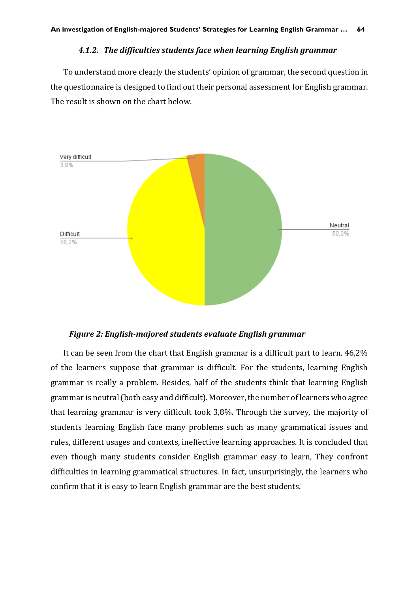#### *4.1.2. The difficulties students face when learning English grammar*

To understand more clearly the students' opinion of grammar, the second question in the questionnaire is designed to find out their personal assessment for English grammar. The result is shown on the chart below.



#### *Figure 2: English-majored students evaluate English grammar*

It can be seen from the chart that English grammar is a difficult part to learn. 46,2% of the learners suppose that grammar is difficult. For the students, learning English grammar is really a problem. Besides, half of the students think that learning English grammar is neutral (both easy and difficult). Moreover, the number of learners who agree that learning grammar is very difficult took 3,8%. Through the survey, the majority of students learning English face many problems such as many grammatical issues and rules, different usages and contexts, ineffective learning approaches. It is concluded that even though many students consider English grammar easy to learn, They confront difficulties in learning grammatical structures. In fact, unsurprisingly, the learners who confirm that it is easy to learn English grammar are the best students.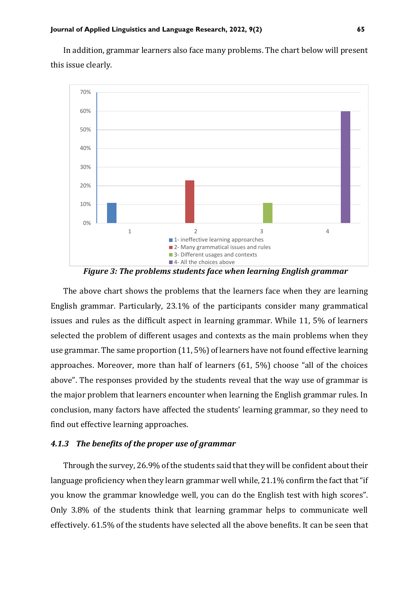In addition, grammar learners also face many problems. The chart below will present this issue clearly.



*Figure 3: The problems students face when learning English grammar*

The above chart shows the problems that the learners face when they are learning English grammar. Particularly, 23.1% of the participants consider many grammatical issues and rules as the difficult aspect in learning grammar. While 11, 5% of learners selected the problem of different usages and contexts as the main problems when they use grammar. The same proportion (11, 5%) of learners have not found effective learning approaches. Moreover, more than half of learners (61, 5%) choose "all of the choices above". The responses provided by the students reveal that the way use of grammar is the major problem that learners encounter when learning the English grammar rules. In conclusion, many factors have affected the students' learning grammar, so they need to find out effective learning approaches.

## *4.1.3 The benefits of the proper use of grammar*

Through the survey, 26.9% of the students said that they will be confident about their language proficiency when they learn grammar well while, 21.1% confirm the fact that "if you know the grammar knowledge well, you can do the English test with high scores". Only 3.8% of the students think that learning grammar helps to communicate well effectively. 61.5% of the students have selected all the above benefits. It can be seen that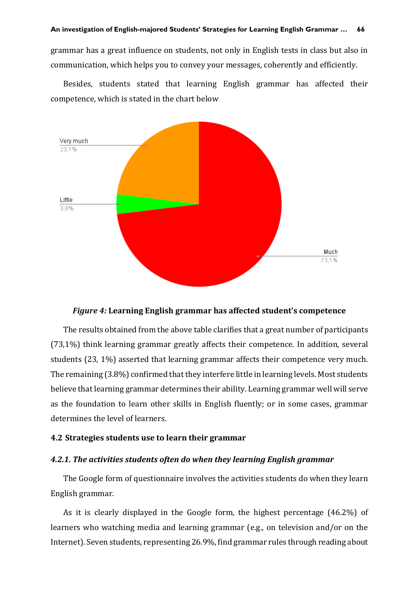grammar has a great influence on students, not only in English tests in class but also in communication, which helps you to convey your messages, coherently and efficiently.

Besides, students stated that learning English grammar has affected their competence, which is stated in the chart below



#### *Figure 4:* **Learning English grammar has affected student's competence**

The results obtained from the above table clarifies that a great number of participants (73,1%) think learning grammar greatly affects their competence. In addition, several students (23, 1%) asserted that learning grammar affects their competence very much. The remaining (3.8%) confirmed that they interfere little in learning levels. Most students believe that learning grammar determines their ability. Learning grammar well will serve as the foundation to learn other skills in English fluently; or in some cases, grammar determines the level of learners.

#### **4.2 Strategies students use to learn their grammar**

#### *4.2.1. The activities students often do when they learning English grammar*

The Google form of questionnaire involves the activities students do when they learn English grammar.

As it is clearly displayed in the Google form, the highest percentage (46.2%) of learners who watching media and learning grammar (e.g., on television and/or on the Internet). Seven students, representing 26.9%, find grammar rules through reading about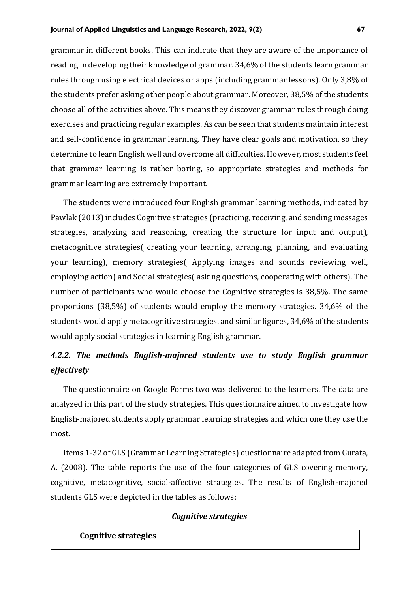grammar in different books. This can indicate that they are aware of the importance of reading in developing their knowledge of grammar. 34,6% of the students learn grammar rules through using electrical devices or apps (including grammar lessons). Only 3,8% of the students prefer asking other people about grammar. Moreover, 38,5% of the students choose all of the activities above. This means they discover grammar rules through doing exercises and practicing regular examples. As can be seen that students maintain interest and self-confidence in grammar learning. They have clear goals and motivation, so they determine to learn English well and overcome all difficulties. However, most students feel that grammar learning is rather boring, so appropriate strategies and methods for grammar learning are extremely important.

The students were introduced four English grammar learning methods, indicated by Pawlak (2013) includes Cognitive strategies (practicing, receiving, and sending messages strategies, analyzing and reasoning, creating the structure for input and output), metacognitive strategies( creating your learning, arranging, planning, and evaluating your learning), memory strategies( Applying images and sounds reviewing well, employing action) and Social strategies( asking questions, cooperating with others). The number of participants who would choose the Cognitive strategies is 38,5%. The same proportions (38,5%) of students would employ the memory strategies. 34,6% of the students would apply metacognitive strategies. and similar figures, 34,6% of the students would apply social strategies in learning English grammar.

# *4.2.2. The methods English-majored students use to study English grammar effectively*

The questionnaire on Google Forms two was delivered to the learners. The data are analyzed in this part of the study strategies. This questionnaire aimed to investigate how English-majored students apply grammar learning strategies and which one they use the most.

Items 1-32 of GLS (Grammar Learning Strategies) questionnaire adapted from Gurata, A. (2008). The table reports the use of the four categories of GLS covering memory, cognitive, metacognitive, social-affective strategies. The results of English-majored students GLS were depicted in the tables as follows:

## *Cognitive strategies*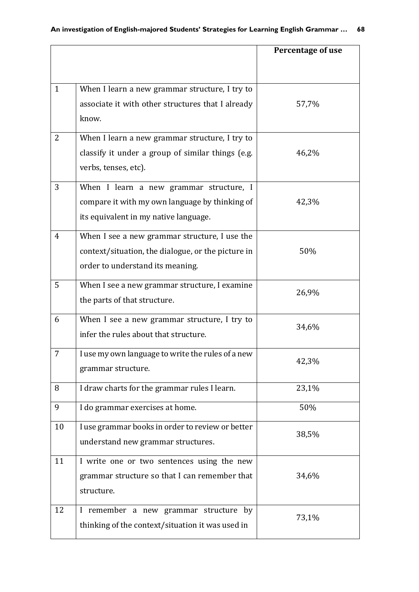|                |                                                            | Percentage of use |
|----------------|------------------------------------------------------------|-------------------|
|                |                                                            |                   |
| $\mathbf{1}$   |                                                            |                   |
|                | When I learn a new grammar structure, I try to             |                   |
|                | associate it with other structures that I already<br>know. | 57,7%             |
|                |                                                            |                   |
| $\overline{2}$ | When I learn a new grammar structure, I try to             |                   |
|                | classify it under a group of similar things (e.g.          | 46,2%             |
|                | verbs, tenses, etc).                                       |                   |
| 3              | When I learn a new grammar structure, I                    |                   |
|                | compare it with my own language by thinking of             | 42,3%             |
|                | its equivalent in my native language.                      |                   |
| 4              | When I see a new grammar structure, I use the              |                   |
|                | context/situation, the dialogue, or the picture in         | 50%               |
|                | order to understand its meaning.                           |                   |
| 5              | When I see a new grammar structure, I examine              |                   |
|                | the parts of that structure.                               | 26,9%             |
| 6              | When I see a new grammar structure, I try to               | 34,6%             |
|                | infer the rules about that structure.                      |                   |
| 7              | I use my own language to write the rules of a new          | 42,3%             |
|                | grammar structure.                                         |                   |
| 8              | I draw charts for the grammar rules I learn.               | 23,1%             |
| 9              | I do grammar exercises at home.                            | 50%               |
| 10             | I use grammar books in order to review or better           | 38,5%             |
|                | understand new grammar structures.                         |                   |
| 11             | I write one or two sentences using the new                 |                   |
|                | grammar structure so that I can remember that              | 34,6%             |
|                | structure.                                                 |                   |
| 12             | I remember a new grammar structure by                      | 73,1%             |
|                | thinking of the context/situation it was used in           |                   |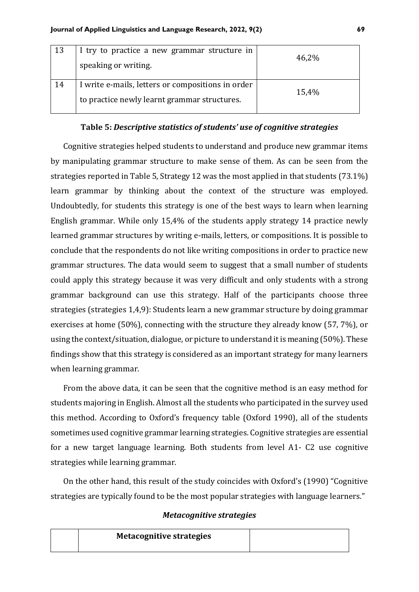| 13 | I try to practice a new grammar structure in<br>speaking or writing.                              | 46,2% |
|----|---------------------------------------------------------------------------------------------------|-------|
| 14 | I write e-mails, letters or compositions in order<br>to practice newly learnt grammar structures. | 15,4% |

## **Table 5:** *Descriptive statistics of students' use of cognitive strategies*

Cognitive strategies helped students to understand and produce new grammar items by manipulating grammar structure to make sense of them. As can be seen from the strategies reported in Table 5, Strategy 12 was the most applied in that students (73.1%) learn grammar by thinking about the context of the structure was employed. Undoubtedly, for students this strategy is one of the best ways to learn when learning English grammar. While only 15,4% of the students apply strategy 14 practice newly learned grammar structures by writing e-mails, letters, or compositions. It is possible to conclude that the respondents do not like writing compositions in order to practice new grammar structures. The data would seem to suggest that a small number of students could apply this strategy because it was very difficult and only students with a strong grammar background can use this strategy. Half of the participants choose three strategies (strategies 1,4,9): Students learn a new grammar structure by doing grammar exercises at home (50%), connecting with the structure they already know (57, 7%), or using the context/situation, dialogue, or picture to understand it is meaning (50%). These findings show that this strategy is considered as an important strategy for many learners when learning grammar.

From the above data, it can be seen that the cognitive method is an easy method for students majoring in English. Almost all the students who participated in the survey used this method. According to Oxford's frequency table (Oxford 1990), all of the students sometimes used cognitive grammar learning strategies. Cognitive strategies are essential for a new target language learning. Both students from level A1- C2 use cognitive strategies while learning grammar.

On the other hand, this result of the study coincides with Oxford's (1990) "Cognitive strategies are typically found to be the most popular strategies with language learners."

#### *Metacognitive strategies*

| <b>Metacognitive strategies</b> |  |
|---------------------------------|--|
|                                 |  |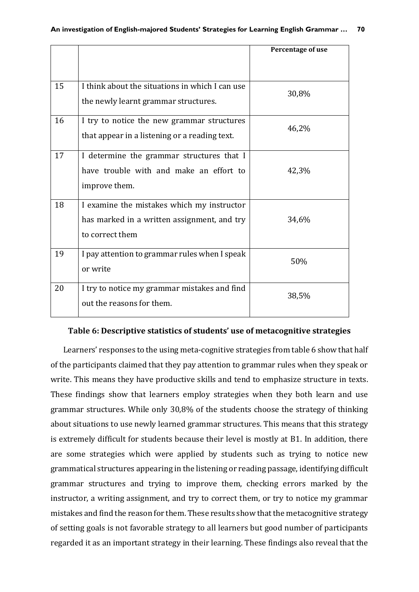|    |                                                                                                              | Percentage of use |
|----|--------------------------------------------------------------------------------------------------------------|-------------------|
|    |                                                                                                              |                   |
| 15 | I think about the situations in which I can use<br>the newly learnt grammar structures.                      | 30,8%             |
| 16 | I try to notice the new grammar structures<br>that appear in a listening or a reading text.                  | 46,2%             |
| 17 | I determine the grammar structures that I<br>have trouble with and make an effort to<br>improve them.        | 42,3%             |
| 18 | I examine the mistakes which my instructor<br>has marked in a written assignment, and try<br>to correct them | 34,6%             |
| 19 | I pay attention to grammar rules when I speak<br>or write                                                    | 50%               |
| 20 | I try to notice my grammar mistakes and find<br>out the reasons for them.                                    | 38,5%             |

#### **Table 6: Descriptive statistics of students' use of metacognitive strategies**

Learners' responses to the using meta-cognitive strategies from table 6 show that half of the participants claimed that they pay attention to grammar rules when they speak or write. This means they have productive skills and tend to emphasize structure in texts. These findings show that learners employ strategies when they both learn and use grammar structures. While only 30,8% of the students choose the strategy of thinking about situations to use newly learned grammar structures. This means that this strategy is extremely difficult for students because their level is mostly at B1. In addition, there are some strategies which were applied by students such as trying to notice new grammatical structures appearing in the listening or reading passage, identifying difficult grammar structures and trying to improve them, checking errors marked by the instructor, a writing assignment, and try to correct them, or try to notice my grammar mistakes and find the reason for them. These results show that the metacognitive strategy of setting goals is not favorable strategy to all learners but good number of participants regarded it as an important strategy in their learning. These findings also reveal that the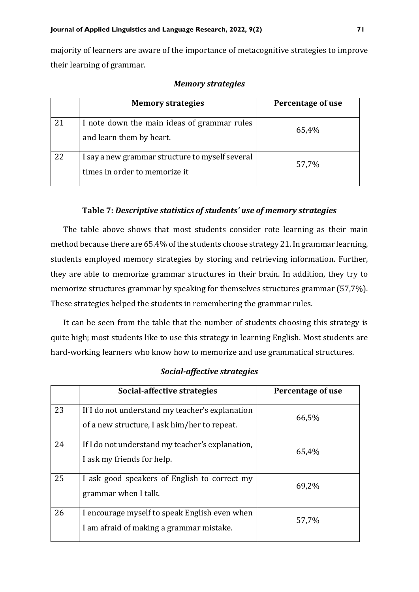majority of learners are aware of the importance of metacognitive strategies to improve their learning of grammar.

|    | <b>Memory strategies</b>                                                         | Percentage of use |
|----|----------------------------------------------------------------------------------|-------------------|
| 21 | I note down the main ideas of grammar rules<br>and learn them by heart.          | 65,4%             |
| 22 | I say a new grammar structure to myself several<br>times in order to memorize it | 57,7%             |

#### *Memory strategies*

## **Table 7:** *Descriptive statistics of students' use of memory strategies*

The table above shows that most students consider rote learning as their main method because there are 65.4% of the students choose strategy 21. In grammar learning, students employed memory strategies by storing and retrieving information. Further, they are able to memorize grammar structures in their brain. In addition, they try to memorize structures grammar by speaking for themselves structures grammar (57,7%). These strategies helped the students in remembering the grammar rules.

It can be seen from the table that the number of students choosing this strategy is quite high; most students like to use this strategy in learning English. Most students are hard-working learners who know how to memorize and use grammatical structures.

| Social-affective strategies |  |
|-----------------------------|--|
|-----------------------------|--|

|    | Social-affective strategies                                                                     | Percentage of use |
|----|-------------------------------------------------------------------------------------------------|-------------------|
| 23 | If I do not understand my teacher's explanation<br>of a new structure, I ask him/her to repeat. | 66,5%             |
| 24 | If I do not understand my teacher's explanation,<br>I ask my friends for help.                  | 65,4%             |
| 25 | I ask good speakers of English to correct my<br>grammar when I talk.                            | 69,2%             |
| 26 | I encourage myself to speak English even when<br>I am afraid of making a grammar mistake.       | 57,7%             |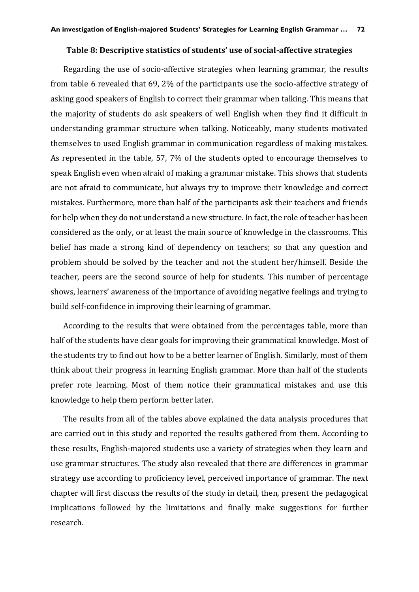#### **Table 8: Descriptive statistics of students' use of social-affective strategies**

Regarding the use of socio-affective strategies when learning grammar, the results from table 6 revealed that 69, 2% of the participants use the socio-affective strategy of asking good speakers of English to correct their grammar when talking. This means that the majority of students do ask speakers of well English when they find it difficult in understanding grammar structure when talking. Noticeably, many students motivated themselves to used English grammar in communication regardless of making mistakes. As represented in the table, 57, 7% of the students opted to encourage themselves to speak English even when afraid of making a grammar mistake. This shows that students are not afraid to communicate, but always try to improve their knowledge and correct mistakes. Furthermore, more than half of the participants ask their teachers and friends for help when they do not understand a new structure. In fact, the role of teacher has been considered as the only, or at least the main source of knowledge in the classrooms. This belief has made a strong kind of dependency on teachers; so that any question and problem should be solved by the teacher and not the student her/himself. Beside the teacher, peers are the second source of help for students. This number of percentage shows, learners' awareness of the importance of avoiding negative feelings and trying to build self-confidence in improving their learning of grammar.

According to the results that were obtained from the percentages table, more than half of the students have clear goals for improving their grammatical knowledge. Most of the students try to find out how to be a better learner of English. Similarly, most of them think about their progress in learning English grammar. More than half of the students prefer rote learning. Most of them notice their grammatical mistakes and use this knowledge to help them perform better later.

The results from all of the tables above explained the data analysis procedures that are carried out in this study and reported the results gathered from them. According to these results, English-majored students use a variety of strategies when they learn and use grammar structures. The study also revealed that there are differences in grammar strategy use according to proficiency level, perceived importance of grammar. The next chapter will first discuss the results of the study in detail, then, present the pedagogical implications followed by the limitations and finally make suggestions for further research.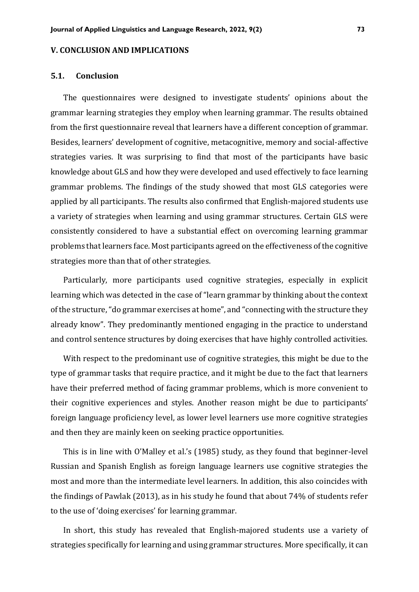#### **V. CONCLUSION AND IMPLICATIONS**

#### **5.1. Conclusion**

The questionnaires were designed to investigate students' opinions about the grammar learning strategies they employ when learning grammar. The results obtained from the first questionnaire reveal that learners have a different conception of grammar. Besides, learners' development of cognitive, metacognitive, memory and social-affective strategies varies. It was surprising to find that most of the participants have basic knowledge about GLS and how they were developed and used effectively to face learning grammar problems. The findings of the study showed that most GLS categories were applied by all participants. The results also confirmed that English-majored students use a variety of strategies when learning and using grammar structures. Certain GLS were consistently considered to have a substantial effect on overcoming learning grammar problems that learners face. Most participants agreed on the effectiveness of the cognitive strategies more than that of other strategies.

Particularly, more participants used cognitive strategies, especially in explicit learning which was detected in the case of "learn grammar by thinking about the context of the structure, "do grammar exercises at home", and "connecting with the structure they already know". They predominantly mentioned engaging in the practice to understand and control sentence structures by doing exercises that have highly controlled activities.

With respect to the predominant use of cognitive strategies, this might be due to the type of grammar tasks that require practice, and it might be due to the fact that learners have their preferred method of facing grammar problems, which is more convenient to their cognitive experiences and styles. Another reason might be due to participants' foreign language proficiency level, as lower level learners use more cognitive strategies and then they are mainly keen on seeking practice opportunities.

This is in line with O'Malley et al.'s (1985) study, as they found that beginner-level Russian and Spanish English as foreign language learners use cognitive strategies the most and more than the intermediate level learners. In addition, this also coincides with the findings of Pawlak (2013), as in his study he found that about 74% of students refer to the use of 'doing exercises' for learning grammar.

In short, this study has revealed that English-majored students use a variety of strategies specifically for learning and using grammar structures. More specifically, it can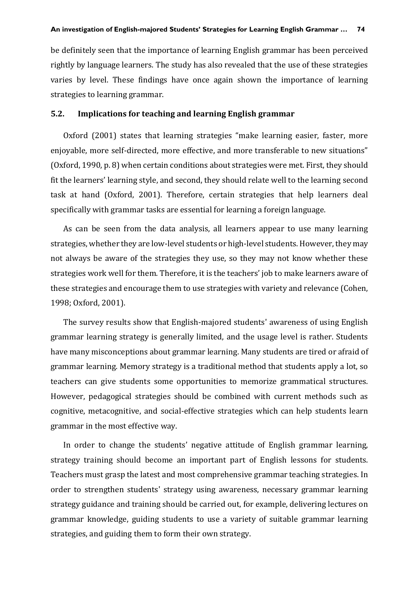be definitely seen that the importance of learning English grammar has been perceived rightly by language learners. The study has also revealed that the use of these strategies varies by level. These findings have once again shown the importance of learning strategies to learning grammar.

#### **5.2. Implications for teaching and learning English grammar**

Oxford (2001) states that learning strategies "make learning easier, faster, more enjoyable, more self-directed, more effective, and more transferable to new situations" (Oxford, 1990, p. 8) when certain conditions about strategies were met. First, they should fit the learners' learning style, and second, they should relate well to the learning second task at hand (Oxford, 2001). Therefore, certain strategies that help learners deal specifically with grammar tasks are essential for learning a foreign language.

As can be seen from the data analysis, all learners appear to use many learning strategies, whether they are low-level students or high-level students. However, they may not always be aware of the strategies they use, so they may not know whether these strategies work well for them. Therefore, it is the teachers' job to make learners aware of these strategies and encourage them to use strategies with variety and relevance (Cohen, 1998; Oxford, 2001).

The survey results show that English-majored students' awareness of using English grammar learning strategy is generally limited, and the usage level is rather. Students have many misconceptions about grammar learning. Many students are tired or afraid of grammar learning. Memory strategy is a traditional method that students apply a lot, so teachers can give students some opportunities to memorize grammatical structures. However, pedagogical strategies should be combined with current methods such as cognitive, metacognitive, and social-effective strategies which can help students learn grammar in the most effective way.

In order to change the students' negative attitude of English grammar learning, strategy training should become an important part of English lessons for students. Teachers must grasp the latest and most comprehensive grammar teaching strategies. In order to strengthen students' strategy using awareness, necessary grammar learning strategy guidance and training should be carried out, for example, delivering lectures on grammar knowledge, guiding students to use a variety of suitable grammar learning strategies, and guiding them to form their own strategy.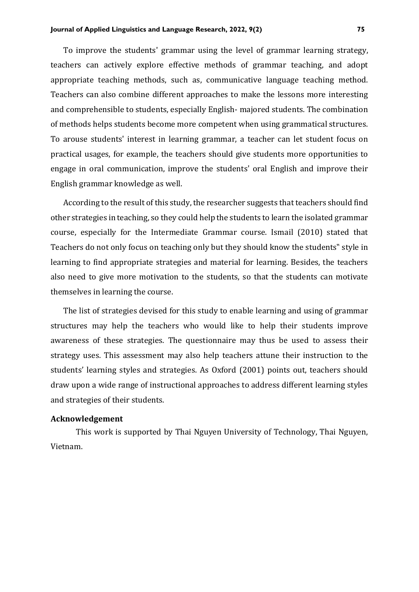To improve the students' grammar using the level of grammar learning strategy, teachers can actively explore effective methods of grammar teaching, and adopt appropriate teaching methods, such as, communicative language teaching method. Teachers can also combine different approaches to make the lessons more interesting and comprehensible to students, especially English- majored students. The combination of methods helps students become more competent when using grammatical structures. To arouse students' interest in learning grammar, a teacher can let student focus on practical usages, for example, the teachers should give students more opportunities to engage in oral communication, improve the students' oral English and improve their English grammar knowledge as well.

According to the result of this study, the researcher suggests that teachers should find other strategies in teaching, so they could help the students to learn the isolated grammar course, especially for the Intermediate Grammar course. Ismail (2010) stated that Teachers do not only focus on teaching only but they should know the students" style in learning to find appropriate strategies and material for learning. Besides, the teachers also need to give more motivation to the students, so that the students can motivate themselves in learning the course.

The list of strategies devised for this study to enable learning and using of grammar structures may help the teachers who would like to help their students improve awareness of these strategies. The questionnaire may thus be used to assess their strategy uses. This assessment may also help teachers attune their instruction to the students' learning styles and strategies. As Oxford (2001) points out, teachers should draw upon a wide range of instructional approaches to address different learning styles and strategies of their students.

#### **Acknowledgement**

This work is supported by Thai Nguyen University of Technology, Thai Nguyen, Vietnam.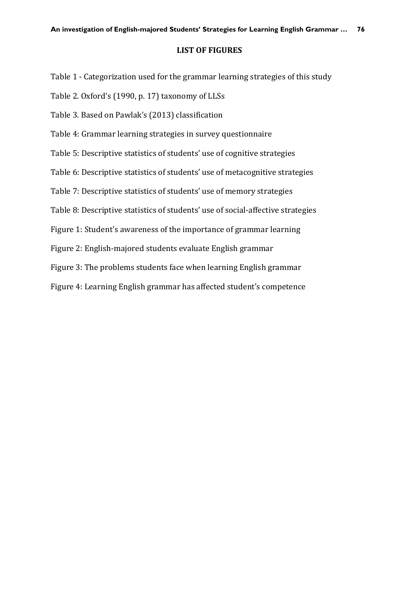## **LIST OF FIGURES**

Table 1 - Categorization used for the grammar learning strategies of this study

Table 2. Oxford's (1990, p. 17) taxonomy of LLSs

Table 3. Based on Pawlak's (2013) classification

Table 4: Grammar learning strategies in survey questionnaire

Table 5: Descriptive statistics of students' use of cognitive strategies

Table 6: Descriptive statistics of students' use of metacognitive strategies

Table 7: Descriptive statistics of students' use of memory strategies

Table 8: Descriptive statistics of students' use of social-affective strategies

Figure 1: Student's awareness of the importance of grammar learning

Figure 2: English-majored students evaluate English grammar

Figure 3: The problems students face when learning English grammar

Figure 4: Learning English grammar has affected student's competence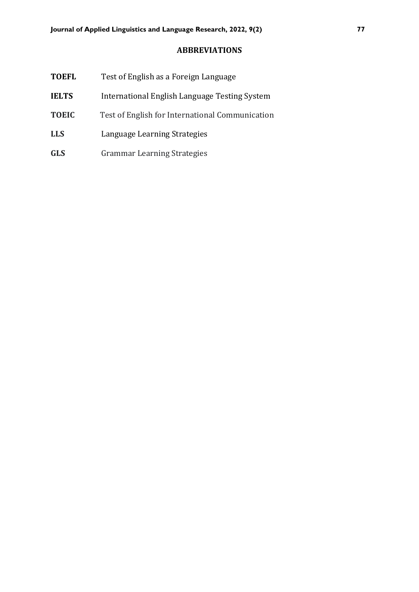# **ABBREVIATIONS**

| <b>TOEFL</b> | Test of English as a Foreign Language           |
|--------------|-------------------------------------------------|
| <b>IELTS</b> | International English Language Testing System   |
| <b>TOEIC</b> | Test of English for International Communication |
| <b>LLS</b>   | Language Learning Strategies                    |
| <b>GLS</b>   | <b>Grammar Learning Strategies</b>              |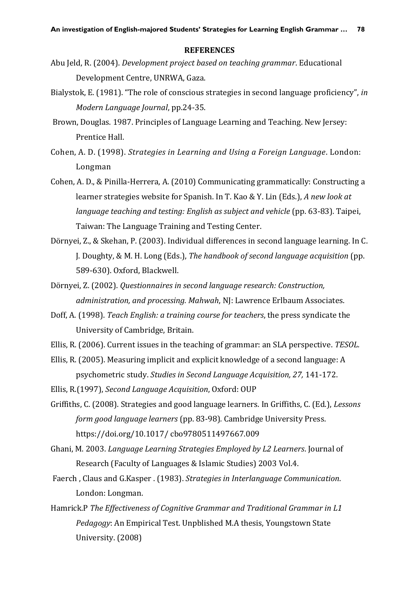#### **REFERENCES**

- Abu Jeld, R. (2004). *Development project based on teaching grammar*. Educational Development Centre, UNRWA, Gaza.
- Bialystok, E. (1981). "The role of conscious strategies in second language proficiency", *in Modern Language Journal*, pp.24-35.
- Brown, Douglas. 1987. Principles of Language Learning and Teaching. New Jersey: Prentice Hall.
- Cohen, A. D. (1998). *Strategies in Learning and Using a Foreign Language*. London: Longman
- Cohen, A. D., & Pinilla-Herrera, A. (2010) Communicating grammatically: Constructing a learner strategies website for Spanish. In T. Kao & Y. Lin (Eds.), *A new look at language teaching and testing: English as subject and vehicle (pp. 63-83). Taipei,* Taiwan: The Language Training and Testing Center.
- Dörnyei, Z., & Skehan, P. (2003). Individual differences in second language learning. In C. J. Doughty, & M. H. Long (Eds.), *The handbook of second language acquisition* (pp. 589-630). Oxford, Blackwell.
- Dörnyei, Z. (2002). *Questionnaires in second language research: Construction, administration, and processing. Mahwah*, NJ: Lawrence Erlbaum Associates.
- Doff, A. (1998). *Teach English: a training course for teachers*, the press syndicate the University of Cambridge, Britain.
- Ellis, R. (2006). Current issues in the teaching of grammar: an SLA perspective. *TESOL.*
- Ellis, R. (2005). Measuring implicit and explicit knowledge of a second language: A psychometric study. *Studies in Second Language Acquisition, 27,* 141-172.
- Ellis, R.(1997), *Second Language Acquisition*, Oxford: OUP
- Griffiths, C. (2008). Strategies and good language learners. In Griffiths, C. (Ed.), *Lessons form good language learners* (pp. 83-98)*.* Cambridge University Press. [https://doi.org/10.1017/ cbo9780511497667.009](https://doi.org/10.1017/cbo9780511497667.009)
- Ghani, M. 2003. *Language Learning Strategies Employed by L2 Learners*. Journal of Research (Faculty of Languages & Islamic Studies) 2003 Vol.4.
- Faerch , Claus and G.Kasper . (1983). *Strategies in Interlanguage Communication*. London: Longman.
- Hamrick.P *The Effectiveness of Cognitive Grammar and Traditional Grammar in L1 Pedagogy*: An Empirical Test. Unpblished M.A thesis, Youngstown State University. (2008)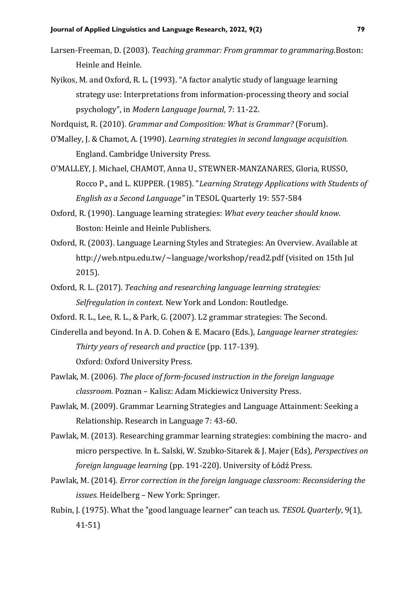- Larsen-Freeman, D. (2003). *Teaching grammar: From grammar to grammaring.*Boston: Heinle and Heinle.
- Nyikos, M. and Oxford, R. L. (1993). "A factor analytic study of language learning strategy use: Interpretations from information-processing theory and social psychology", in *Modern Language Journal*, 7: 11-22.

Nordquist, R. (2010). *Grammar and Composition: What is Grammar?* (Forum).

- O'Malley, J. & Chamot, A. (1990). *Learning strategies in second language acquisition.*  England. Cambridge University Press*.*
- O'MALLEY, J. Michael, CHAMOT, Anna U., STEWNER-MANZANARES, Gloria, RUSSO, Rocco P., and L. KUPPER. (1985). "*Learning Strategy Applications with Students of English as a Second Language"* in TESOL Quarterly 19: 557-584
- Oxford, R. (1990). Language learning strategies: *What every teacher should know*. Boston: Heinle and Heinle Publishers.
- Oxford, R. (2003). Language Learning Styles and Strategies: An Overview. Available at http://web.ntpu.edu.tw/~language/workshop/read2.pdf (visited on 15th Jul 2015).
- Oxford, R. L. (2017). *Teaching and researching language learning strategies: Selfregulation in context.* New York and London: Routledge.
- Oxford. R. L., Lee, R. L., & Park, G. (2007). L2 grammar strategies: The Second.
- Cinderella and beyond. In A. D. Cohen & E. Macaro (Eds.), *Language learner strategies: Thirty years of research and practice* (pp. 117-139). Oxford: Oxford University Press.
- Pawlak, M. (2006). *The place of form-focused instruction in the foreign language classroom.* Poznan – Kalisz: Adam Mickiewicz University Press.
- Pawlak, M. (2009). Grammar Learning Strategies and Language Attainment: Seeking a Relationship. Research in Language 7: 43-60.
- Pawlak, M. (2013). Researching grammar learning strategies: combining the macro- and micro perspective. In Ł. Salski, W. Szubko-Sitarek & J. Majer (Eds), *Perspectives on foreign language learning* (pp. 191-220). University of Łódź Press.
- Pawlak, M. (2014). *Error correction in the foreign language classroom: Reconsidering the issues.* Heidelberg – New York: Springer.
- Rubin, J. (1975). What the "good language learner" can teach us. *TESOL Quarterly*, 9(1), 41-51)